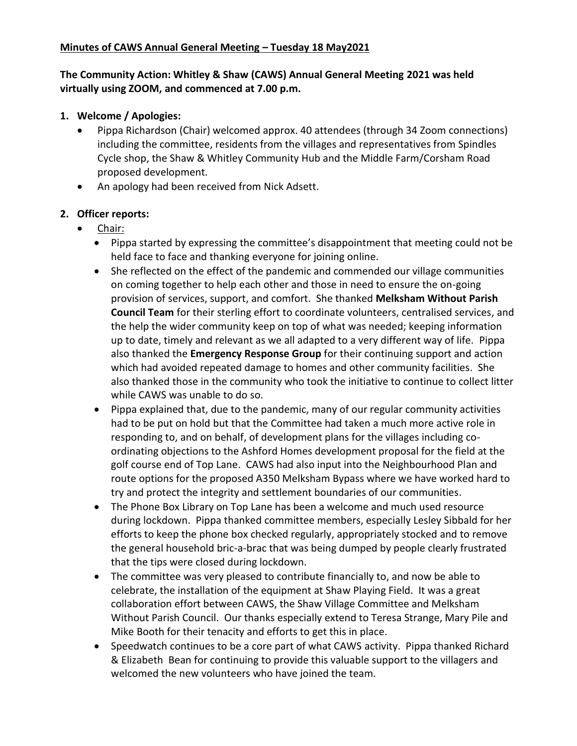#### **The Community Action: Whitley & Shaw (CAWS) Annual General Meeting 2021 was held virtually using ZOOM, and commenced at 7.00 p.m.**

- **1. Welcome / Apologies:** 
	- Pippa Richardson (Chair) welcomed approx. 40 attendees (through 34 Zoom connections) including the committee, residents from the villages and representatives from Spindles Cycle shop, the Shaw & Whitley Community Hub and the Middle Farm/Corsham Road proposed development.
	- An apology had been received from Nick Adsett.

## **2. Officer reports:**

- Chair:
	- Pippa started by expressing the committee's disappointment that meeting could not be held face to face and thanking everyone for joining online.
	- She reflected on the effect of the pandemic and commended our village communities on coming together to help each other and those in need to ensure the on-going provision of services, support, and comfort. She thanked **Melksham Without Parish Council Team** for their sterling effort to coordinate volunteers, centralised services, and the help the wider community keep on top of what was needed; keeping information up to date, timely and relevant as we all adapted to a very different way of life. Pippa also thanked the **Emergency Response Group** for their continuing support and action which had avoided repeated damage to homes and other community facilities. She also thanked those in the community who took the initiative to continue to collect litter while CAWS was unable to do so.
	- Pippa explained that, due to the pandemic, many of our regular community activities had to be put on hold but that the Committee had taken a much more active role in responding to, and on behalf, of development plans for the villages including coordinating objections to the Ashford Homes development proposal for the field at the golf course end of Top Lane. CAWS had also input into the Neighbourhood Plan and route options for the proposed A350 Melksham Bypass where we have worked hard to try and protect the integrity and settlement boundaries of our communities.
	- The Phone Box Library on Top Lane has been a welcome and much used resource during lockdown. Pippa thanked committee members, especially Lesley Sibbald for her efforts to keep the phone box checked regularly, appropriately stocked and to remove the general household bric-a-brac that was being dumped by people clearly frustrated that the tips were closed during lockdown.
	- The committee was very pleased to contribute financially to, and now be able to celebrate, the installation of the equipment at Shaw Playing Field. It was a great collaboration effort between CAWS, the Shaw Village Committee and Melksham Without Parish Council. Our thanks especially extend to Teresa Strange, Mary Pile and Mike Booth for their tenacity and efforts to get this in place.
	- Speedwatch continues to be a core part of what CAWS activity. Pippa thanked Richard & Elizabeth Bean for continuing to provide this valuable support to the villagers and welcomed the new volunteers who have joined the team.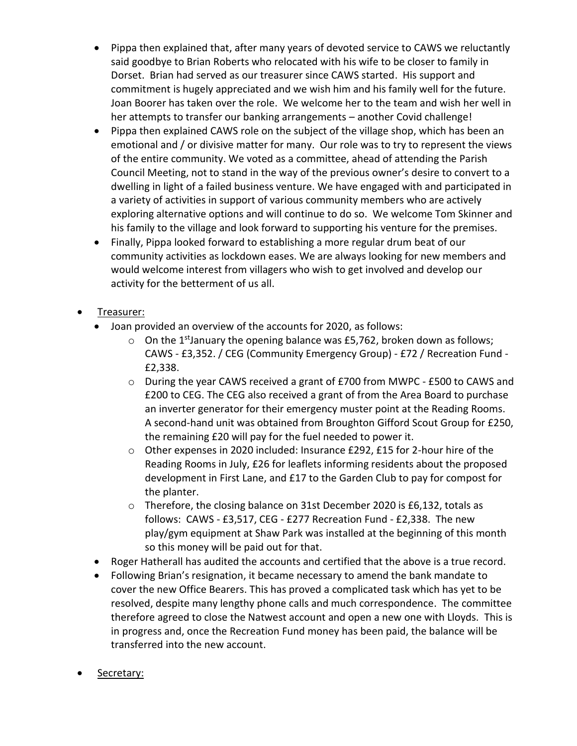- Pippa then explained that, after many years of devoted service to CAWS we reluctantly said goodbye to Brian Roberts who relocated with his wife to be closer to family in Dorset. Brian had served as our treasurer since CAWS started. His support and commitment is hugely appreciated and we wish him and his family well for the future. Joan Boorer has taken over the role. We welcome her to the team and wish her well in her attempts to transfer our banking arrangements – another Covid challenge!
- Pippa then explained CAWS role on the subject of the village shop, which has been an emotional and / or divisive matter for many. Our role was to try to represent the views of the entire community. We voted as a committee, ahead of attending the Parish Council Meeting, not to stand in the way of the previous owner's desire to convert to a dwelling in light of a failed business venture. We have engaged with and participated in a variety of activities in support of various community members who are actively exploring alternative options and will continue to do so. We welcome Tom Skinner and his family to the village and look forward to supporting his venture for the premises.
- Finally, Pippa looked forward to establishing a more regular drum beat of our community activities as lockdown eases. We are always looking for new members and would welcome interest from villagers who wish to get involved and develop our activity for the betterment of us all.

# • Treasurer:

- Joan provided an overview of the accounts for 2020, as follows:
	- $\circ$  On the 1<sup>st</sup>January the opening balance was £5,762, broken down as follows; CAWS - £3,352. / CEG (Community Emergency Group) - £72 / Recreation Fund - £2,338.
	- o During the year CAWS received a grant of £700 from MWPC £500 to CAWS and £200 to CEG. The CEG also received a grant of from the Area Board to purchase an inverter generator for their emergency muster point at the Reading Rooms. A second-hand unit was obtained from Broughton Gifford Scout Group for £250, the remaining £20 will pay for the fuel needed to power it.
	- o Other expenses in 2020 included: Insurance £292, £15 for 2-hour hire of the Reading Rooms in July, £26 for leaflets informing residents about the proposed development in First Lane, and £17 to the Garden Club to pay for compost for the planter.
	- o Therefore, the closing balance on 31st December 2020 is £6,132, totals as follows: CAWS - £3,517, CEG - £277 Recreation Fund - £2,338. The new play/gym equipment at Shaw Park was installed at the beginning of this month so this money will be paid out for that.
- Roger Hatherall has audited the accounts and certified that the above is a true record.
- Following Brian's resignation, it became necessary to amend the bank mandate to cover the new Office Bearers. This has proved a complicated task which has yet to be resolved, despite many lengthy phone calls and much correspondence. The committee therefore agreed to close the Natwest account and open a new one with Lloyds. This is in progress and, once the Recreation Fund money has been paid, the balance will be transferred into the new account.
- Secretary: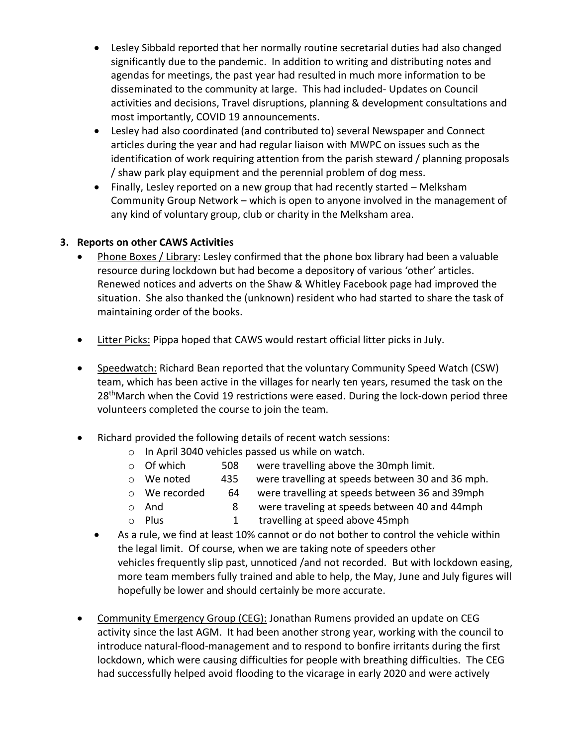- Lesley Sibbald reported that her normally routine secretarial duties had also changed significantly due to the pandemic. In addition to writing and distributing notes and agendas for meetings, the past year had resulted in much more information to be disseminated to the community at large. This had included- Updates on Council activities and decisions, Travel disruptions, planning & development consultations and most importantly, COVID 19 announcements.
- Lesley had also coordinated (and contributed to) several Newspaper and Connect articles during the year and had regular liaison with MWPC on issues such as the identification of work requiring attention from the parish steward / planning proposals / shaw park play equipment and the perennial problem of dog mess.
- Finally, Lesley reported on a new group that had recently started Melksham Community Group Network – which is open to anyone involved in the management of any kind of voluntary group, club or charity in the Melksham area.

#### **3. Reports on other CAWS Activities**

- Phone Boxes / Library: Lesley confirmed that the phone box library had been a valuable resource during lockdown but had become a depository of various 'other' articles. Renewed notices and adverts on the Shaw & Whitley Facebook page had improved the situation. She also thanked the (unknown) resident who had started to share the task of maintaining order of the books.
- Litter Picks: Pippa hoped that CAWS would restart official litter picks in July.
- Speedwatch: Richard Bean reported that the voluntary Community Speed Watch (CSW) team, which has been active in the villages for nearly ten years, resumed the task on the 28<sup>th</sup>March when the Covid 19 restrictions were eased. During the lock-down period three volunteers completed the course to join the team.
- Richard provided the following details of recent watch sessions:
	- o In April 3040 vehicles passed us while on watch.
	- o Of which 508 were travelling above the 30mph limit.
	- $\circ$  We noted 435 were travelling at speeds between 30 and 36 mph.
	- o We recorded 64 were travelling at speeds between 36 and 39mph
	- o And 8 were traveling at speeds between 40 and 44mph
	- o Plus 1 travelling at speed above 45mph
	- As a rule, we find at least 10% cannot or do not bother to control the vehicle within the legal limit. Of course, when we are taking note of speeders other vehicles frequently slip past, unnoticed /and not recorded. But with lockdown easing, more team members fully trained and able to help, the May, June and July figures will hopefully be lower and should certainly be more accurate.
- Community Emergency Group (CEG): Jonathan Rumens provided an update on CEG activity since the last AGM. It had been another strong year, working with the council to introduce natural-flood-management and to respond to bonfire irritants during the first lockdown, which were causing difficulties for people with breathing difficulties. The CEG had successfully helped avoid flooding to the vicarage in early 2020 and were actively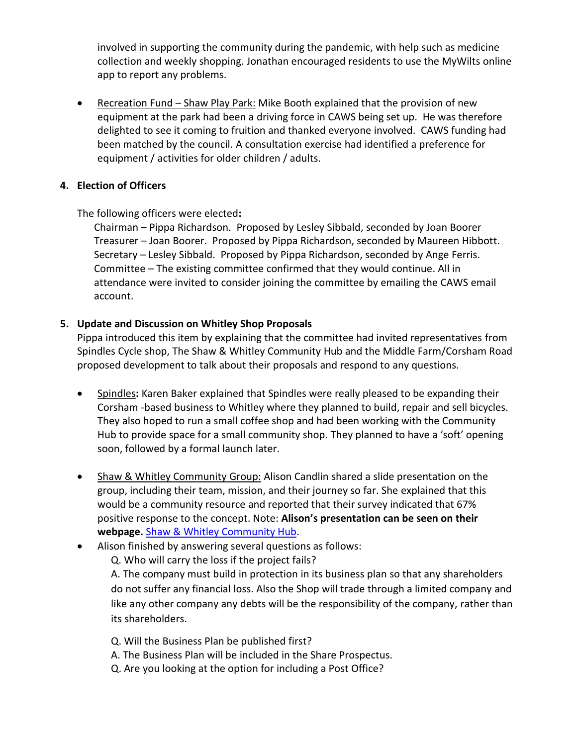involved in supporting the community during the pandemic, with help such as medicine collection and weekly shopping. Jonathan encouraged residents to use the MyWilts online app to report any problems.

• Recreation Fund – Shaw Play Park: Mike Booth explained that the provision of new equipment at the park had been a driving force in CAWS being set up. He was therefore delighted to see it coming to fruition and thanked everyone involved. CAWS funding had been matched by the council. A consultation exercise had identified a preference for equipment / activities for older children / adults.

#### **4. Election of Officers**

#### The following officers were elected**:**

Chairman – Pippa Richardson. Proposed by Lesley Sibbald, seconded by Joan Boorer Treasurer – Joan Boorer. Proposed by Pippa Richardson, seconded by Maureen Hibbott. Secretary – Lesley Sibbald. Proposed by Pippa Richardson, seconded by Ange Ferris. Committee – The existing committee confirmed that they would continue. All in attendance were invited to consider joining the committee by emailing the CAWS email account.

## **5. Update and Discussion on Whitley Shop Proposals**

Pippa introduced this item by explaining that the committee had invited representatives from Spindles Cycle shop, The Shaw & Whitley Community Hub and the Middle Farm/Corsham Road proposed development to talk about their proposals and respond to any questions.

- Spindles**:** Karen Baker explained that Spindles were really pleased to be expanding their Corsham -based business to Whitley where they planned to build, repair and sell bicycles. They also hoped to run a small coffee shop and had been working with the Community Hub to provide space for a small community shop. They planned to have a 'soft' opening soon, followed by a formal launch later.
- Shaw & Whitley Community Group: Alison Candlin shared a slide presentation on the group, including their team, mission, and their journey so far. She explained that this would be a community resource and reported that their survey indicated that 67% positive response to the concept. Note: **Alison's presentation can be seen on their webpage.** [Shaw & Whitley Community Hub.](https://whitleycommunityhub.com/)
- Alison finished by answering several questions as follows:

Q. Who will carry the loss if the project fails?

A. The company must build in protection in its business plan so that any shareholders do not suffer any financial loss. Also the Shop will trade through a limited company and like any other company any debts will be the responsibility of the company, rather than its shareholders.

- Q. Will the Business Plan be published first?
- A. The Business Plan will be included in the Share Prospectus.
- Q. Are you looking at the option for including a Post Office?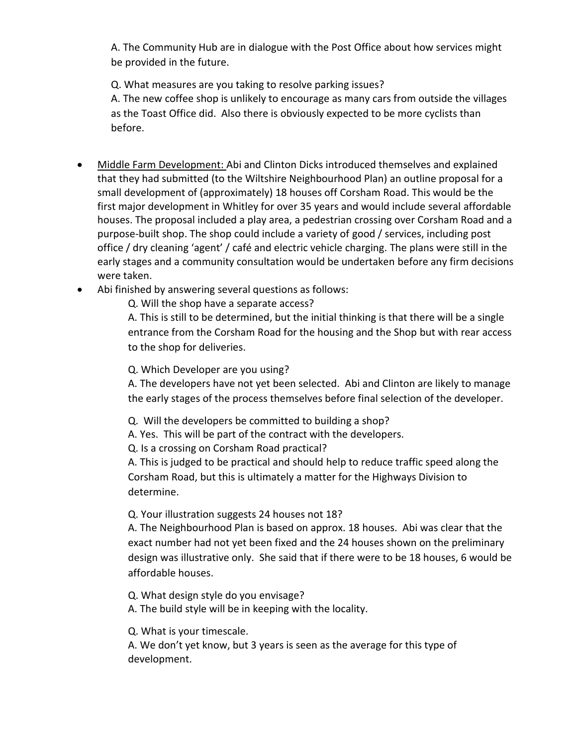A. The Community Hub are in dialogue with the Post Office about how services might be provided in the future.

Q. What measures are you taking to resolve parking issues?

A. The new coffee shop is unlikely to encourage as many cars from outside the villages as the Toast Office did. Also there is obviously expected to be more cyclists than before.

- Middle Farm Development: Abi and Clinton Dicks introduced themselves and explained that they had submitted (to the Wiltshire Neighbourhood Plan) an outline proposal for a small development of (approximately) 18 houses off Corsham Road. This would be the first major development in Whitley for over 35 years and would include several affordable houses. The proposal included a play area, a pedestrian crossing over Corsham Road and a purpose-built shop. The shop could include a variety of good / services, including post office / dry cleaning 'agent' / café and electric vehicle charging. The plans were still in the early stages and a community consultation would be undertaken before any firm decisions were taken.
- Abi finished by answering several questions as follows:

Q. Will the shop have a separate access?

A. This is still to be determined, but the initial thinking is that there will be a single entrance from the Corsham Road for the housing and the Shop but with rear access to the shop for deliveries.

Q. Which Developer are you using?

A. The developers have not yet been selected. Abi and Clinton are likely to manage the early stages of the process themselves before final selection of the developer.

Q. Will the developers be committed to building a shop?

A. Yes. This will be part of the contract with the developers.

Q. Is a crossing on Corsham Road practical?

A. This is judged to be practical and should help to reduce traffic speed along the Corsham Road, but this is ultimately a matter for the Highways Division to determine.

Q. Your illustration suggests 24 houses not 18?

A. The Neighbourhood Plan is based on approx. 18 houses. Abi was clear that the exact number had not yet been fixed and the 24 houses shown on the preliminary design was illustrative only. She said that if there were to be 18 houses, 6 would be affordable houses.

Q. What design style do you envisage?

A. The build style will be in keeping with the locality.

Q. What is your timescale.

A. We don't yet know, but 3 years is seen as the average for this type of development.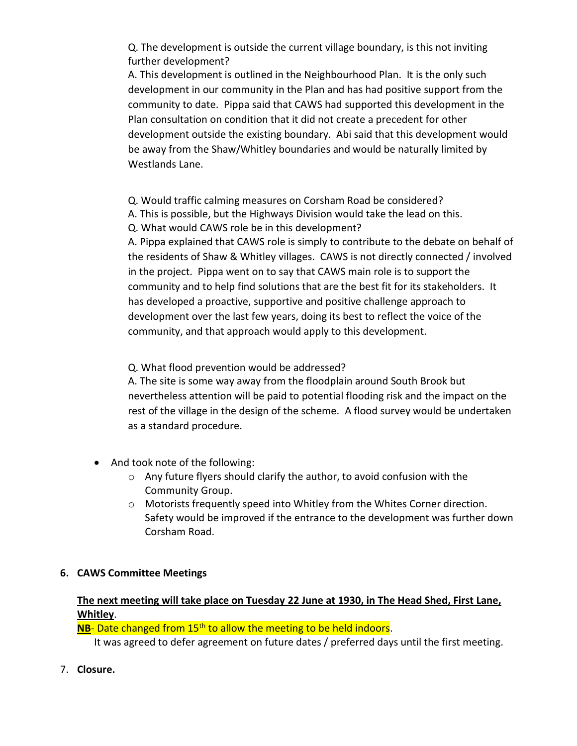Q. The development is outside the current village boundary, is this not inviting further development?

A. This development is outlined in the Neighbourhood Plan. It is the only such development in our community in the Plan and has had positive support from the community to date. Pippa said that CAWS had supported this development in the Plan consultation on condition that it did not create a precedent for other development outside the existing boundary. Abi said that this development would be away from the Shaw/Whitley boundaries and would be naturally limited by Westlands Lane.

Q. Would traffic calming measures on Corsham Road be considered?

A. This is possible, but the Highways Division would take the lead on this.

Q. What would CAWS role be in this development?

A. Pippa explained that CAWS role is simply to contribute to the debate on behalf of the residents of Shaw & Whitley villages. CAWS is not directly connected / involved in the project. Pippa went on to say that CAWS main role is to support the community and to help find solutions that are the best fit for its stakeholders. It has developed a proactive, supportive and positive challenge approach to development over the last few years, doing its best to reflect the voice of the community, and that approach would apply to this development.

Q. What flood prevention would be addressed?

A. The site is some way away from the floodplain around South Brook but nevertheless attention will be paid to potential flooding risk and the impact on the rest of the village in the design of the scheme. A flood survey would be undertaken as a standard procedure.

- And took note of the following:
	- o Any future flyers should clarify the author, to avoid confusion with the Community Group.
	- $\circ$  Motorists frequently speed into Whitley from the Whites Corner direction. Safety would be improved if the entrance to the development was further down Corsham Road.

# **6. CAWS Committee Meetings**

# **The next meeting will take place on Tuesday 22 June at 1930, in The Head Shed, First Lane, Whitley**.

NB- Date changed from 15<sup>th</sup> to allow the meeting to be held indoors.

It was agreed to defer agreement on future dates / preferred days until the first meeting.

7. **Closure.**